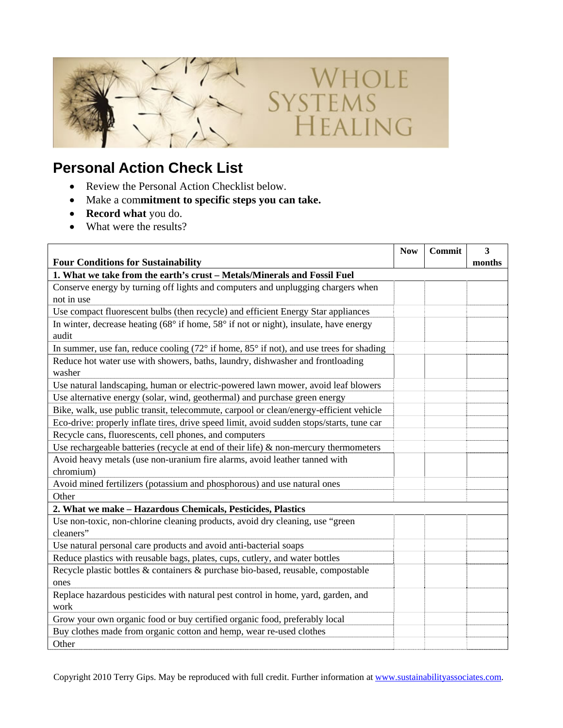

## **Personal Action Check List**

- Review the Personal Action Checklist below.
- Make a com**mitment to specific steps you can take.**
- **Record what** you do.
- What were the results?

|                                                                                                           | <b>Now</b> | Commit | 3      |
|-----------------------------------------------------------------------------------------------------------|------------|--------|--------|
| <b>Four Conditions for Sustainability</b>                                                                 |            |        | months |
| 1. What we take from the earth's crust - Metals/Minerals and Fossil Fuel                                  |            |        |        |
| Conserve energy by turning off lights and computers and unplugging chargers when                          |            |        |        |
| not in use                                                                                                |            |        |        |
| Use compact fluorescent bulbs (then recycle) and efficient Energy Star appliances                         |            |        |        |
| In winter, decrease heating $(68^\circ$ if home, $58^\circ$ if not or night), insulate, have energy       |            |        |        |
| audit                                                                                                     |            |        |        |
| In summer, use fan, reduce cooling $(72^{\circ}$ if home, $85^{\circ}$ if not), and use trees for shading |            |        |        |
| Reduce hot water use with showers, baths, laundry, dishwasher and frontloading                            |            |        |        |
| washer                                                                                                    |            |        |        |
| Use natural landscaping, human or electric-powered lawn mower, avoid leaf blowers                         |            |        |        |
| Use alternative energy (solar, wind, geothermal) and purchase green energy                                |            |        |        |
| Bike, walk, use public transit, telecommute, carpool or clean/energy-efficient vehicle                    |            |        |        |
| Eco-drive: properly inflate tires, drive speed limit, avoid sudden stops/starts, tune car                 |            |        |        |
| Recycle cans, fluorescents, cell phones, and computers                                                    |            |        |        |
| Use rechargeable batteries (recycle at end of their life) $\&$ non-mercury thermometers                   |            |        |        |
| Avoid heavy metals (use non-uranium fire alarms, avoid leather tanned with                                |            |        |        |
| chromium)                                                                                                 |            |        |        |
| Avoid mined fertilizers (potassium and phosphorous) and use natural ones                                  |            |        |        |
| Other                                                                                                     |            |        |        |
| 2. What we make - Hazardous Chemicals, Pesticides, Plastics                                               |            |        |        |
| Use non-toxic, non-chlorine cleaning products, avoid dry cleaning, use "green"                            |            |        |        |
| cleaners"                                                                                                 |            |        |        |
| Use natural personal care products and avoid anti-bacterial soaps                                         |            |        |        |
| Reduce plastics with reusable bags, plates, cups, cutlery, and water bottles                              |            |        |        |
| Recycle plastic bottles & containers & purchase bio-based, reusable, compostable                          |            |        |        |
| ones                                                                                                      |            |        |        |
| Replace hazardous pesticides with natural pest control in home, yard, garden, and                         |            |        |        |
| work                                                                                                      |            |        |        |
| Grow your own organic food or buy certified organic food, preferably local                                |            |        |        |
| Buy clothes made from organic cotton and hemp, wear re-used clothes                                       |            |        |        |
| Other                                                                                                     |            |        |        |

WHOLE<br>SYSTEMS<br>HEALING

Copyright 2010 Terry Gips. May be reproduced with full credit. Further information at www.sustainabilityassociates.com.